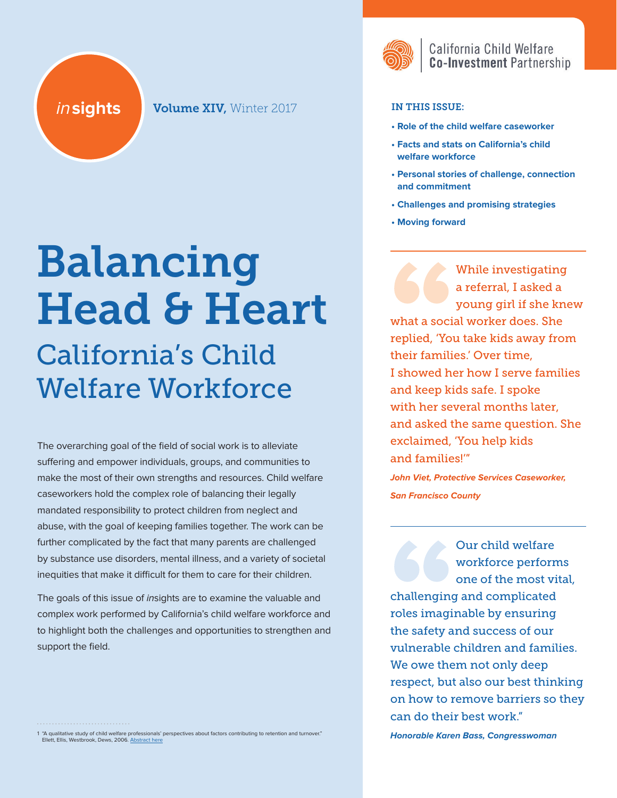**insights Volume XIV, Winter 2017** 

# Balancing Head & Heart California's Child

# Welfare Workforce

The overarching goal of the field of social work is to alleviate suffering and empower individuals, groups, and communities to make the most of their own strengths and resources. Child welfare caseworkers hold the complex role of balancing their legally mandated responsibility to protect children from neglect and abuse, with the goal of keeping families together. The work can be further complicated by the fact that many parents are challenged by substance use disorders, mental illness, and a variety of societal inequities that make it difficult for them to care for their children.

The goals of this issue of insights are to examine the valuable and complex work performed by California's child welfare workforce and to highlight both the challenges and opportunities to strengthen and support the field.

1 "A qualitative study of child welfare professionals' perspectives about factors contributing to retention and turnover." Ellett, Ellis, Westbrook, Dews, 2006. [Abstract here](https://uncch.pure.elsevier.com/en/publications/a-qualitative-study-of-369-child-welfare-professionals-perspectiv)



# California Child Welfare **Co-Investment Partnership**

#### IN THIS ISSUE:

- **Role of the child welfare caseworker**
- **Facts and stats on California's child welfare workforce**
- **Personal stories of challenge, connection and commitment**
- **Challenges and promising strategies**
- **Moving forward**

While investigating a referral, I asked a young girl if she knew what a social worker does. She replied, 'You take kids away from their families.' Over time, I showed her how I serve families and keep kids safe. I spoke with her several months later, and asked the same question. She exclaimed, 'You help kids and families!'"

**John Viet, Protective Services Caseworker, San Francisco County**

Our child welfare workforce performs one of the most vital, challenging and complicated roles imaginable by ensuring the safety and success of our vulnerable children and families. We owe them not only deep respect, but also our best thinking on how to remove barriers so they can do their best work."

**Honorable Karen Bass, Congresswoman**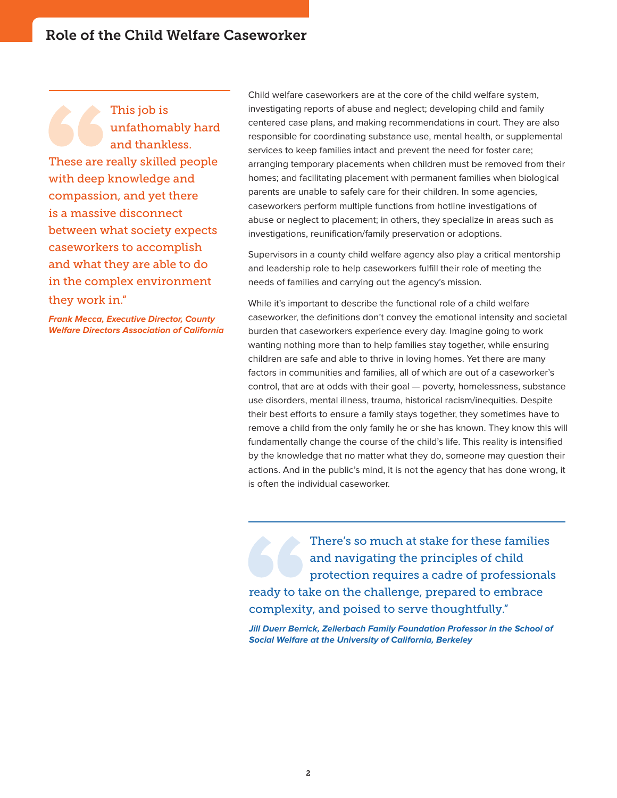This job is unfathomably hard and thankless. These are really skilled people with deep knowledge and compassion, and yet there is a massive disconnect between what society expects caseworkers to accomplish and what they are able to do in the complex environment they work in."

**Frank Mecca, Executive Director, County Welfare Directors Association of California** Child welfare caseworkers are at the core of the child welfare system, investigating reports of abuse and neglect; developing child and family centered case plans, and making recommendations in court. They are also responsible for coordinating substance use, mental health, or supplemental services to keep families intact and prevent the need for foster care; arranging temporary placements when children must be removed from their homes; and facilitating placement with permanent families when biological parents are unable to safely care for their children. In some agencies, caseworkers perform multiple functions from hotline investigations of abuse or neglect to placement; in others, they specialize in areas such as investigations, reunification/family preservation or adoptions.

Supervisors in a county child welfare agency also play a critical mentorship and leadership role to help caseworkers fulfill their role of meeting the needs of families and carrying out the agency's mission.

While it's important to describe the functional role of a child welfare caseworker, the definitions don't convey the emotional intensity and societal burden that caseworkers experience every day. Imagine going to work wanting nothing more than to help families stay together, while ensuring children are safe and able to thrive in loving homes. Yet there are many factors in communities and families, all of which are out of a caseworker's control, that are at odds with their goal — poverty, homelessness, substance use disorders, mental illness, trauma, historical racism/inequities. Despite their best efforts to ensure a family stays together, they sometimes have to remove a child from the only family he or she has known. They know this will fundamentally change the course of the child's life. This reality is intensified by the knowledge that no matter what they do, someone may question their actions. And in the public's mind, it is not the agency that has done wrong, it is often the individual caseworker.

There's so much at stake for these families and navigating the principles of child protection requires a cadre of professionals ready to take on the challenge, prepared to embrace complexity, and poised to serve thoughtfully."

**Jill Duerr Berrick, Zellerbach Family Foundation Professor in the School of Social Welfare at the University of California, Berkeley**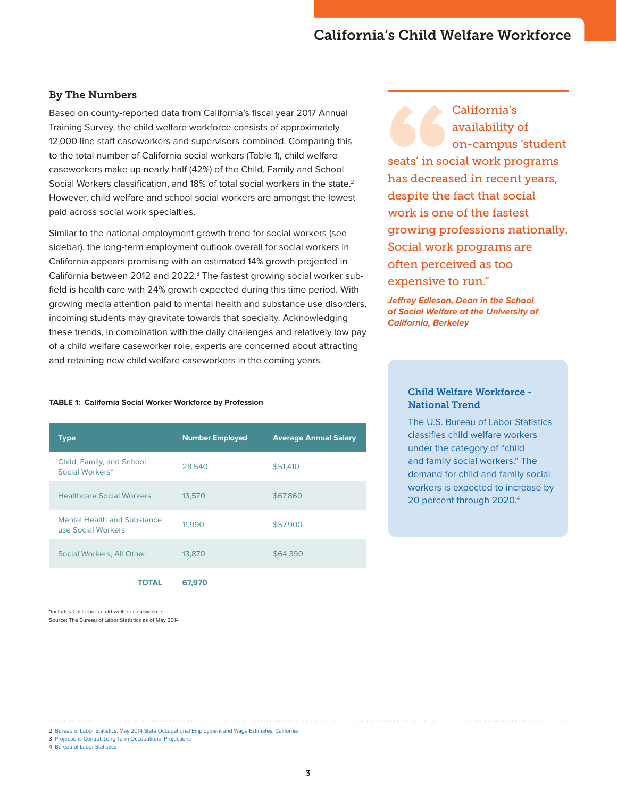# California's Child Welfare Workforce

#### By The Numbers

Based on county-reported data from California's fiscal year 2017 Annual Training Survey, the child welfare workforce consists of approximately 12,000 line staff caseworkers and supervisors combined. Comparing this to the total number of California social workers (Table 1), child welfare caseworkers make up nearly half (42%) of the Child, Family and School Social Workers classification, and 18% of total social workers in the state.<sup>2</sup> However, child welfare and school social workers are amongst the lowest paid across social work specialties.

Similar to the national employment growth trend for social workers (see sidebar), the long-term employment outlook overall for social workers in California appears promising with an estimated 14% growth projected in California between 2012 and 2022.<sup>3</sup> The fastest growing social worker subfield is health care with 24% growth expected during this time period. With growing media attention paid to mental health and substance use disorders, incoming students may gravitate towards that specialty. Acknowledging these trends, in combination with the daily challenges and relatively low pay of a child welfare caseworker role, experts are concerned about attracting and retaining new child welfare caseworkers in the coming years.

California's availability of on-campus 'student seats' in social work programs has decreased in recent years, despite the fact that social work is one of the fastest growing professions nationally. Social work programs are often perceived as too expensive to run."

**Jeffrey Edleson, Dean in the School of Social Welfare at the University of California, Berkeley**

#### **TABLE 1: California Social Worker Workforce by Profession**

| <b>Type</b>                                              | <b>Number Employed</b> | <b>Average Annual Salary</b> |
|----------------------------------------------------------|------------------------|------------------------------|
| Child, Family, and School<br>Social Workers*             | 28,540                 | \$51,410                     |
| <b>Healthcare Social Workers</b>                         | 13,570                 | \$67,860                     |
| <b>Mental Health and Substance</b><br>use Social Workers | 11,990                 | \$57,900                     |
| Social Workers, All Other                                | 13,870                 | \$64,390                     |
| <b>TOTAL</b>                                             | 67,970                 |                              |

\*Includes California's child welfare caseworkers. Source: The Bureau of Labor Statistics as of May 2014

#### Child Welfare Workforce - National Trend

The U.S. Bureau of Labor Statistics classifies child welfare workers under the category of "child and family social workers." The demand for child and family social workers is expected to increase by 20 percent through 2020.4

3 [Projections Central: Long Term Occupational Projections](http://www.projectionscentral.com/Projections/LongTerm)

4 [Bureau of Labor Statistics](https://www.bls.gov/ooh/community-and-social-service/social-workers.htm)

<sup>2</sup> [Bureau of Labor Statistics, May 2014 State Occupational Employment and Wage Estimates, California](https://www.bls.gov/oes/current/oes_ca.htm)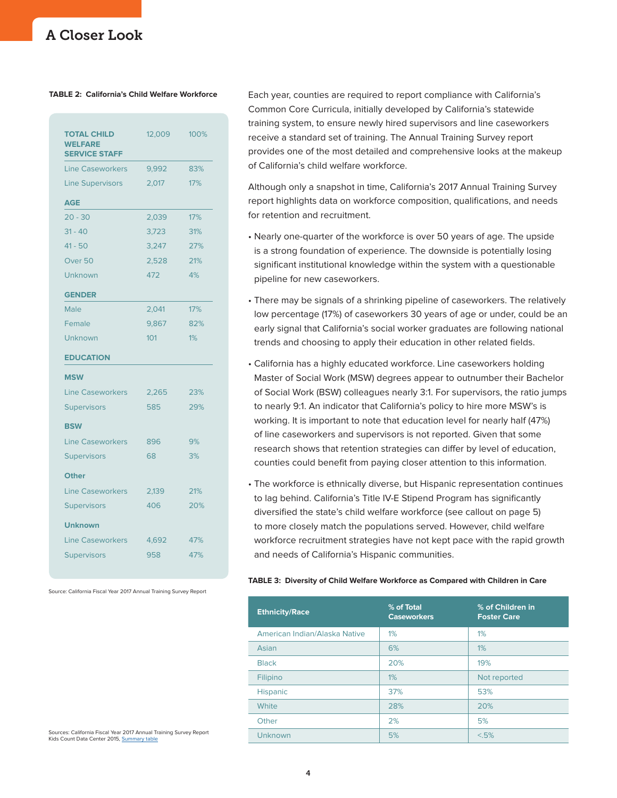#### **TABLE 2: California's Child Welfare Workforce**

| <b>TOTAL CHILD</b><br><b>WELFARE</b><br><b>SERVICE STAFF</b> | 12,009 | 100% |
|--------------------------------------------------------------|--------|------|
| <b>Line Caseworkers</b>                                      | 9,992  | 83%  |
| <b>Line Supervisors</b>                                      | 2,017  | 17%  |
| <b>AGE</b>                                                   |        |      |
| $20 - 30$                                                    | 2,039  | 17%  |
| $31 - 40$                                                    | 3.723  | 31%  |
| $41 - 50$                                                    | 3.247  | 27%  |
| Over <sub>50</sub>                                           | 2,528  | 21%  |
| Unknown                                                      | 472    | 4%   |
| <b>GENDER</b>                                                |        |      |
| Male                                                         | 2,041  | 17%  |
| Female                                                       | 9,867  | 82%  |
| Unknown                                                      | 101    | 1%   |
|                                                              |        |      |
| <b>EDUCATION</b>                                             |        |      |
| <b>MSW</b>                                                   |        |      |
| <b>Line Caseworkers</b>                                      | 2,265  | 23%  |
| <b>Supervisors</b>                                           | 585    | 29%  |
| <b>BSW</b>                                                   |        |      |
| <b>Line Caseworkers</b>                                      | 896    | 9%   |
| <b>Supervisors</b>                                           | 68     | 3%   |
| <b>Other</b>                                                 |        |      |
| <b>Line Caseworkers</b>                                      | 2,139  | 21%  |
| <b>Supervisors</b>                                           | 406    | 20%  |
| <b>Unknown</b>                                               |        |      |
| <b>Line Caseworkers</b>                                      | 4,692  | 47%  |
| <b>Supervisors</b>                                           | 958    | 47%  |

Source: California Fiscal Year 2017 Annual Training Survey Report

Each year, counties are required to report compliance with California's Common Core Curricula, initially developed by California's statewide training system, to ensure newly hired supervisors and line caseworkers receive a standard set of training. The Annual Training Survey report provides one of the most detailed and comprehensive looks at the makeup of California's child welfare workforce.

Although only a snapshot in time, California's 2017 Annual Training Survey report highlights data on workforce composition, qualifications, and needs for retention and recruitment.

- Nearly one-quarter of the workforce is over 50 years of age. The upside is a strong foundation of experience. The downside is potentially losing significant institutional knowledge within the system with a questionable pipeline for new caseworkers.
- There may be signals of a shrinking pipeline of caseworkers. The relatively low percentage (17%) of caseworkers 30 years of age or under, could be an early signal that California's social worker graduates are following national trends and choosing to apply their education in other related fields.
- California has a highly educated workforce. Line caseworkers holding Master of Social Work (MSW) degrees appear to outnumber their Bachelor of Social Work (BSW) colleagues nearly 3:1. For supervisors, the ratio jumps to nearly 9:1. An indicator that California's policy to hire more MSW's is working. It is important to note that education level for nearly half (47%) of line caseworkers and supervisors is not reported. Given that some research shows that retention strategies can differ by level of education, counties could benefit from paying closer attention to this information.
- The workforce is ethnically diverse, but Hispanic representation continues to lag behind. California's Title IV-E Stipend Program has significantly diversified the state's child welfare workforce (see callout on page 5) to more closely match the populations served. However, child welfare workforce recruitment strategies have not kept pace with the rapid growth and needs of California's Hispanic communities.

#### **TABLE 3: Diversity of Child Welfare Workforce as Compared with Children in Care**

| <b>Ethnicity/Race</b>         | % of Total<br><b>Caseworkers</b> | % of Children in<br><b>Foster Care</b> |
|-------------------------------|----------------------------------|----------------------------------------|
| American Indian/Alaska Native | 1%                               | $1\%$                                  |
| Asian                         | 6%                               | $1\%$                                  |
| <b>Black</b>                  | 20%                              | 19%                                    |
| Filipino                      | $1\%$                            | Not reported                           |
| <b>Hispanic</b>               | 37%                              | 53%                                    |
| White                         | 28%                              | 20%                                    |
| Other                         | 2%                               | 5%                                     |
| Unknown                       | 5%                               | < 5%                                   |

Sources: California Fiscal Year 2017 Annual Training Survey Report Kids Count Data Center 2015, [Summary table](http://datacenter.kidscount.org/data/tables/6246-children-in-foster-care-by-race-and-hispanic-origin#detailed/2/6/false/573,869,36,868,867/2638,2601,2600,2598,2603,2597,2602,1353/12992,12993)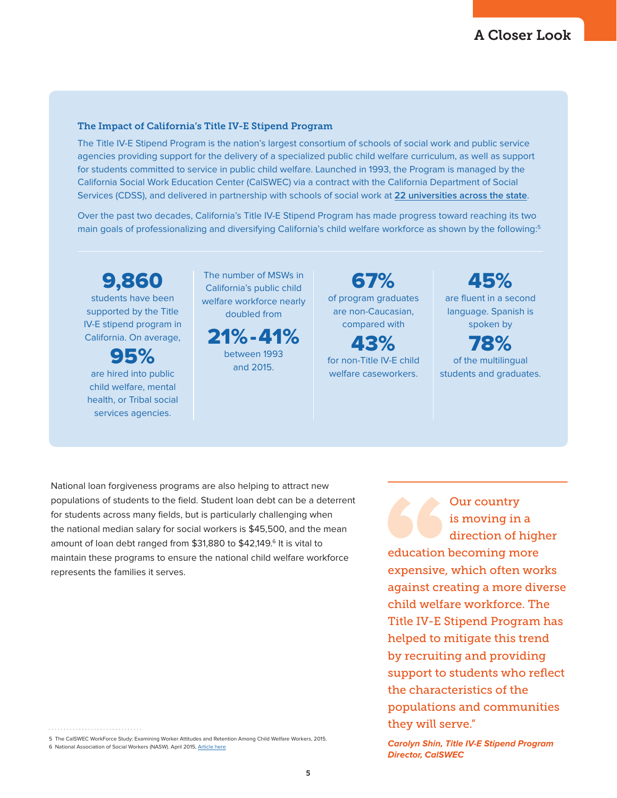#### The Impact of California's Title IV-E Stipend Program

The Title IV-E Stipend Program is the nation's largest consortium of schools of social work and public service agencies providing support for the delivery of a specialized public child welfare curriculum, as well as support for students committed to service in public child welfare. Launched in 1993, the Program is managed by the California Social Work Education Center (CalSWEC) via a contract with the California Department of Social Services (CDSS), and delivered in partnership with schools of social work at **[22 universities across the state](http://calswec.berkeley.edu/schools-social-worksocial-welfare)**.

Over the past two decades, California's Title IV-E Stipend Program has made progress toward reaching its two main goals of professionalizing and diversifying California's child welfare workforce as shown by the following:<sup>5</sup>

9,860 students have been supported by the Title IV-E stipend program in California. On average,

95% are hired into public child welfare, mental health, or Tribal social services agencies.

The number of MSWs in California's public child welfare workforce nearly doubled from

21%-41% between 1993

and 2015.

67% of program graduates are non-Caucasian, compared with

43% for non-Title IV-E child welfare caseworkers.

45% are fluent in a second language. Spanish is spoken by

78% of the multilingual students and graduates.

National loan forgiveness programs are also helping to attract new populations of students to the field. Student loan debt can be a deterrent for students across many fields, but is particularly challenging when the national median salary for social workers is \$45,500, and the mean amount of loan debt ranged from \$31,880 to \$42,149.<sup>6</sup> It is vital to maintain these programs to ensure the national child welfare workforce represents the families it serves.

Our country is moving in a direction of higher education becoming more expensive, which often works against creating a more diverse child welfare workforce. The Title IV-E Stipend Program has helped to mitigate this trend by recruiting and providing support to students who reflect the characteristics of the populations and communities they will serve."

6 National Association of Social Workers (NASW). April 2015, [Article here](https://www.socialworkers.org/LinkClick.aspx?fileticket=F8vbo7y8E70%3d&portalid=0)

<sup>5</sup> The CalSWEC WorkForce Study: Examining Worker Attitudes and Retention Among Child Welfare Workers, 2015.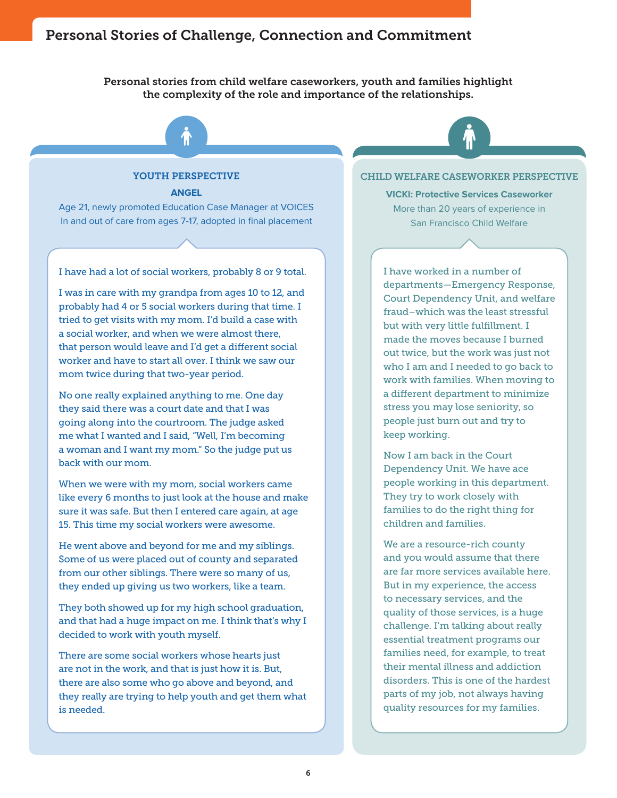# Personal Stories of Challenge, Connection and Commitment

Personal stories from child welfare caseworkers, youth and families highlight the complexity of the role and importance of the relationships.



**ANGEL**

Age 21, newly promoted Education Case Manager at VOICES In and out of care from ages 7-17, adopted in final placement

I have had a lot of social workers, probably 8 or 9 total.

I was in care with my grandpa from ages 10 to 12, and probably had 4 or 5 social workers during that time. I tried to get visits with my mom. I'd build a case with a social worker, and when we were almost there, that person would leave and I'd get a different social worker and have to start all over. I think we saw our mom twice during that two-year period.

No one really explained anything to me. One day they said there was a court date and that I was going along into the courtroom. The judge asked me what I wanted and I said, "Well, I'm becoming a woman and I want my mom." So the judge put us back with our mom.

When we were with my mom, social workers came like every 6 months to just look at the house and make sure it was safe. But then I entered care again, at age 15. This time my social workers were awesome.

He went above and beyond for me and my siblings. Some of us were placed out of county and separated from our other siblings. There were so many of us, they ended up giving us two workers, like a team.

They both showed up for my high school graduation, and that had a huge impact on me. I think that's why I decided to work with youth myself.

There are some social workers whose hearts just are not in the work, and that is just how it is. But, there are also some who go above and beyond, and they really are trying to help youth and get them what is needed.

CHILD WELFARE CASEWORKER PERSPECTIVE

**VICKI: Protective Services Caseworker**  More than 20 years of experience in San Francisco Child Welfare

I have worked in a number of departments—Emergency Response, Court Dependency Unit, and welfare fraud–which was the least stressful but with very little fulfillment. I made the moves because I burned out twice, but the work was just not who I am and I needed to go back to work with families. When moving to a different department to minimize stress you may lose seniority, so people just burn out and try to keep working.

Now I am back in the Court Dependency Unit. We have ace people working in this department. They try to work closely with families to do the right thing for children and families.

We are a resource-rich county and you would assume that there are far more services available here. But in my experience, the access to necessary services, and the quality of those services, is a huge challenge. I'm talking about really essential treatment programs our families need, for example, to treat their mental illness and addiction disorders. This is one of the hardest parts of my job, not always having quality resources for my families.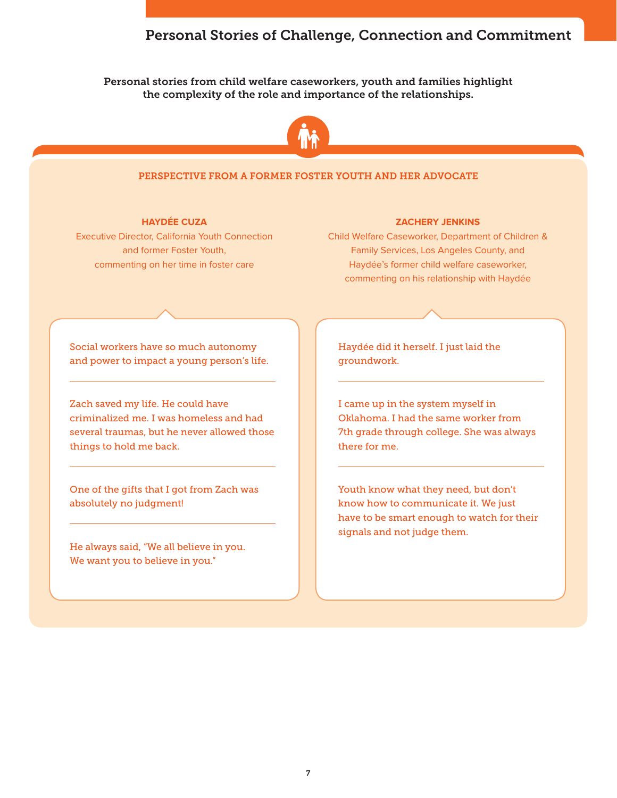# Personal Stories of Challenge, Connection and Commitment

#### Personal stories from child welfare caseworkers, youth and families highlight the complexity of the role and importance of the relationships.



#### PERSPECTIVE FROM A FORMER FOSTER YOUTH AND HER ADVOCATE

#### **HAYDÉE CUZA**

Executive Director, California Youth Connection and former Foster Youth, commenting on her time in foster care

#### **ZACHERY JENKINS**

Child Welfare Caseworker, Department of Children & Family Services, Los Angeles County, and Haydée's former child welfare caseworker, commenting on his relationship with Haydée

Social workers have so much autonomy and power to impact a young person's life.

Zach saved my life. He could have criminalized me. I was homeless and had several traumas, but he never allowed those things to hold me back.

One of the gifts that I got from Zach was absolutely no judgment!

He always said, "We all believe in you. We want you to believe in you."

Haydée did it herself. I just laid the groundwork.

I came up in the system myself in Oklahoma. I had the same worker from 7th grade through college. She was always there for me.

Youth know what they need, but don't know how to communicate it. We just have to be smart enough to watch for their signals and not judge them.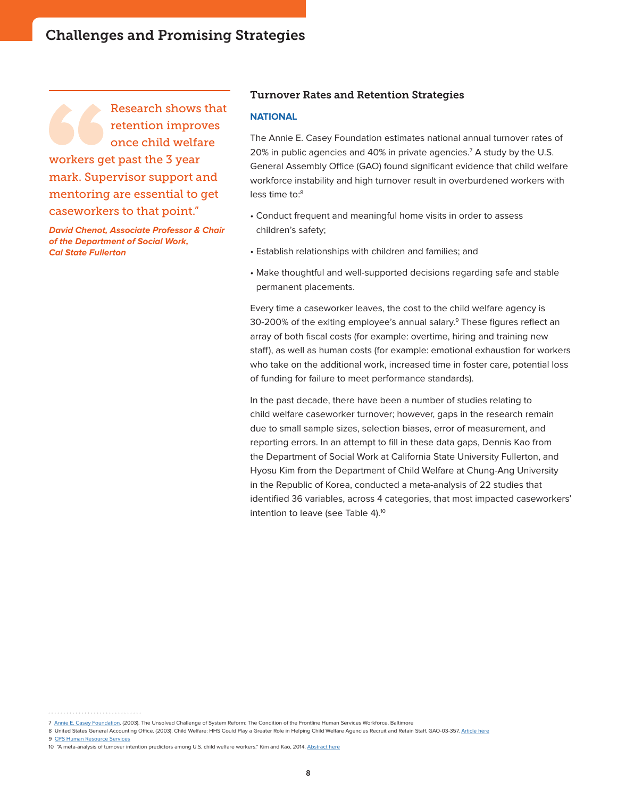Research shows that retention improves once child welfare workers get past the 3 year mark. Supervisor support and mentoring are essential to get caseworkers to that point."

**David Chenot, Associate Professor & Chair of the Department of Social Work, Cal State Fullerton**

#### Turnover Rates and Retention Strategies

#### **NATIONAL**

The Annie E. Casey Foundation estimates national annual turnover rates of 20% in public agencies and 40% in private agencies.7 A study by the U.S. General Assembly Office (GAO) found significant evidence that child welfare workforce instability and high turnover result in overburdened workers with less time to:8

- Conduct frequent and meaningful home visits in order to assess children's safety;
- Establish relationships with children and families; and
- Make thoughtful and well-supported decisions regarding safe and stable permanent placements.

Every time a caseworker leaves, the cost to the child welfare agency is 30-200% of the exiting employee's annual salary.<sup>9</sup> These figures reflect an array of both fiscal costs (for example: overtime, hiring and training new staff), as well as human costs (for example: emotional exhaustion for workers who take on the additional work, increased time in foster care, potential loss of funding for failure to meet performance standards).

In the past decade, there have been a number of studies relating to child welfare caseworker turnover; however, gaps in the research remain due to small sample sizes, selection biases, error of measurement, and reporting errors. In an attempt to fill in these data gaps, Dennis Kao from the Department of Social Work at California State University Fullerton, and Hyosu Kim from the Department of Child Welfare at Chung-Ang University in the Republic of Korea, conducted a meta-analysis of 22 studies that identified 36 variables, across 4 categories, that most impacted caseworkers' intention to leave (see Table 4).<sup>10</sup>

9 [CPS Human Resource Services](http://www.cpshr.us/workforceplanning/documents/TurnTool1CalculatorFINAL.pdf)

<sup>7</sup> [Annie E. Casey Foundation.](http://www.aecf.org) (2003). The Unsolved Challenge of System Reform: The Condition of the Frontline Human Services Workforce. Baltimore

<sup>8</sup> United States General Accounting Office. (2003). Child Welfare: HHS Could Play a Greater Role in Helping Child Welfare Agencies Recruit and Retain Staff. GAO-03-357. [Article here](http://www.gao.gov/assets/240/237373.pdf)

<sup>10 &</sup>quot;A meta-analysis of turnover intention predictors among U.S. child welfare workers." Kim and Kao, 2014. [Abstract here](http://www.sciencedirect.com/science/article/pii/S0190740914003399)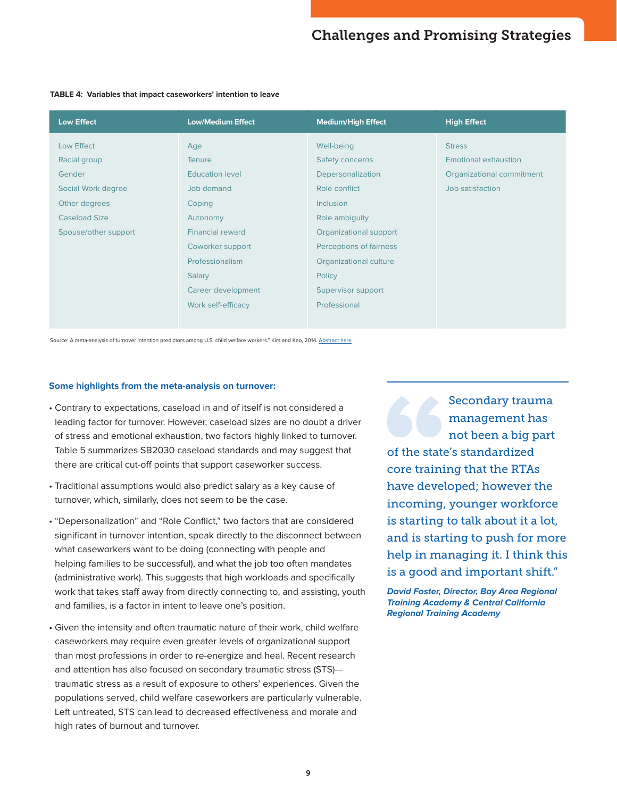| <b>Low Effect</b>    | <b>Low/Medium Effect</b> | <b>Medium/High Effect</b> | <b>High Effect</b>        |
|----------------------|--------------------------|---------------------------|---------------------------|
| Low Effect           | Age                      | Well-being                | <b>Stress</b>             |
| Racial group         | <b>Tenure</b>            | Safety concerns           | Emotional exhaustion      |
| Gender               | <b>Education level</b>   | Depersonalization         | Organizational commitment |
| Social Work degree   | Job demand               | Role conflict             | Job satisfaction          |
| Other degrees        | Coping                   | <b>Inclusion</b>          |                           |
| <b>Caseload Size</b> | Autonomy                 | Role ambiguity            |                           |
| Spouse/other support | <b>Financial reward</b>  | Organizational support    |                           |
|                      | Coworker support         | Perceptions of fairness   |                           |
|                      | Professionalism          | Organizational culture    |                           |
|                      | Salary                   | Policy                    |                           |
|                      | Career development       | Supervisor support        |                           |
|                      | Work self-efficacy       | Professional              |                           |

#### **TABLE 4: Variables that impact caseworkers' intention to leave**

Source: A meta-analysis of turnover intention predictors among U.S. child welfare workers." Kim and Kao, 2014. [Abstract here](http://www.sciencedirect.com/science/article/pii/S0190740914003399)

#### **Some highlights from the meta-analysis on turnover:**

- Contrary to expectations, caseload in and of itself is not considered a leading factor for turnover. However, caseload sizes are no doubt a driver of stress and emotional exhaustion, two factors highly linked to turnover. Table 5 summarizes SB2030 caseload standards and may suggest that there are critical cut-off points that support caseworker success.
- Traditional assumptions would also predict salary as a key cause of turnover, which, similarly, does not seem to be the case.
- "Depersonalization" and "Role Conflict," two factors that are considered significant in turnover intention, speak directly to the disconnect between what caseworkers want to be doing (connecting with people and helping families to be successful), and what the job too often mandates (administrative work). This suggests that high workloads and specifically work that takes staff away from directly connecting to, and assisting, youth and families, is a factor in intent to leave one's position.
- Given the intensity and often traumatic nature of their work, child welfare caseworkers may require even greater levels of organizational support than most professions in order to re-energize and heal. Recent research and attention has also focused on secondary traumatic stress (STS) traumatic stress as a result of exposure to others' experiences. Given the populations served, child welfare caseworkers are particularly vulnerable. Left untreated, STS can lead to decreased effectiveness and morale and high rates of burnout and turnover.

Secondary trauma management has not been a big part of the state's standardized core training that the RTAs have developed; however the incoming, younger workforce is starting to talk about it a lot, and is starting to push for more help in managing it. I think this is a good and important shift."

**David Foster, Director, Bay Area Regional Training Academy & Central California Regional Training Academy**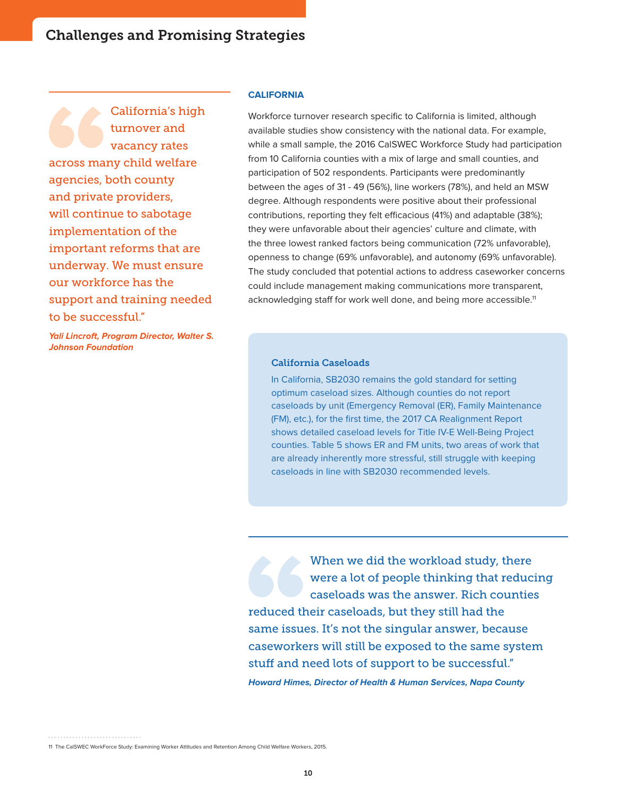California's high turnover and vacancy rates across many child welfare agencies, both county and private providers, will continue to sabotage implementation of the important reforms that are underway. We must ensure our workforce has the support and training needed to be successful."

**Yali Lincroft, Program Director, Walter S. Johnson Foundation**

#### **CALIFORNIA**

Workforce turnover research specific to California is limited, although available studies show consistency with the national data. For example, while a small sample, the 2016 CalSWEC Workforce Study had participation from 10 California counties with a mix of large and small counties, and participation of 502 respondents. Participants were predominantly between the ages of 31 - 49 (56%), line workers (78%), and held an MSW degree. Although respondents were positive about their professional contributions, reporting they felt efficacious (41%) and adaptable (38%); they were unfavorable about their agencies' culture and climate, with the three lowest ranked factors being communication (72% unfavorable), openness to change (69% unfavorable), and autonomy (69% unfavorable). The study concluded that potential actions to address caseworker concerns could include management making communications more transparent, acknowledging staff for work well done, and being more accessible.<sup>11</sup>

#### California Caseloads

In California, SB2030 remains the gold standard for setting optimum caseload sizes. Although counties do not report caseloads by unit (Emergency Removal (ER), Family Maintenance (FM), etc.), for the first time, the 2017 CA Realignment Report shows detailed caseload levels for Title IV-E Well-Being Project counties. Table 5 shows ER and FM units, two areas of work that are already inherently more stressful, still struggle with keeping caseloads in line with SB2030 recommended levels.

When we did the workload study, there were a lot of people thinking that reducing caseloads was the answer. Rich counties reduced their caseloads, but they still had the same issues. It's not the singular answer, because caseworkers will still be exposed to the same system stuff and need lots of support to be successful." **Howard Himes, Director of Health & Human Services, Napa County**

<sup>11</sup> The CalSWEC WorkForce Study: Examining Worker Attitudes and Retention Among Child Welfare Workers, 2015.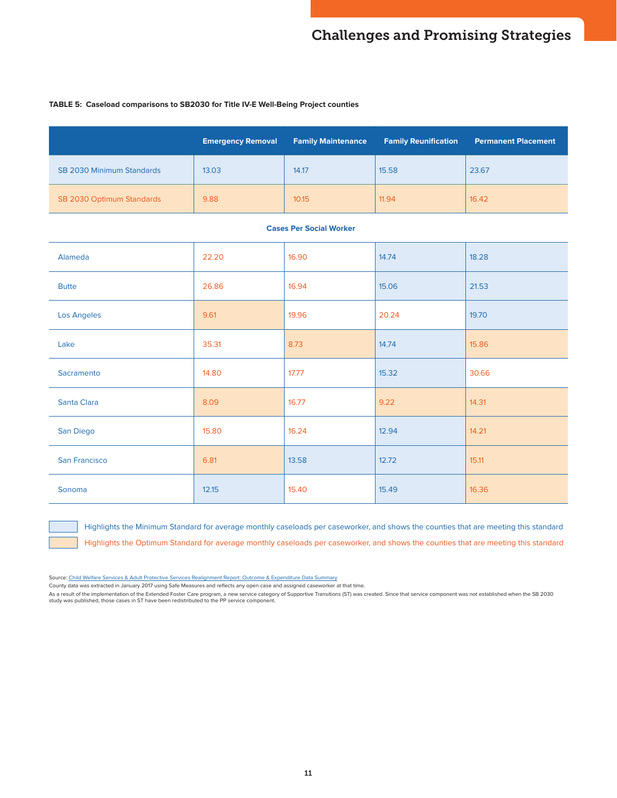#### **TABLE 5: Caseload comparisons to SB2030 for Title IV-E Well-Being Project counties**

|                                  | <b>Emergency Removal</b> | <b>Family Maintenance</b> | <b>Family Reunification</b> | <b>Permanent Placement</b> |
|----------------------------------|--------------------------|---------------------------|-----------------------------|----------------------------|
| <b>SB 2030 Minimum Standards</b> | 13.03                    | 14.17                     | 15.58                       | 23.67                      |
| SB 2030 Optimum Standards        | 9.88                     | 10.15                     | 11.94                       | 16.42                      |

#### **Cases Per Social Worker**

| Alameda       | 22.20 | 16.90 | 14.74 | 18.28 |
|---------------|-------|-------|-------|-------|
| <b>Butte</b>  | 26.86 | 16.94 | 15.06 | 21.53 |
| Los Angeles   | 9.61  | 19.96 | 20.24 | 19.70 |
| Lake          | 35.31 | 8.73  | 14.74 | 15.86 |
| Sacramento    | 14.80 | 17.77 | 15.32 | 30.66 |
| Santa Clara   | 8.09  | 16.77 | 9.22  | 14.31 |
| San Diego     | 15.80 | 16.24 | 12.94 | 14.21 |
| San Francisco | 6.81  | 13.58 | 12.72 | 15.11 |
| Sonoma        | 12.15 | 15.40 | 15.49 | 16.36 |

Highlights the Minimum Standard for average monthly caseloads per caseworker, and shows the counties that are meeting this standard Highlights the Optimum Standard for average monthly caseloads per caseworker, and shows the counties that are meeting this standard

Source: [Child Welfare Services & Adult Protective Services Realignment Report: Outcome & Expenditure Data Summary](http://www.cdss.ca.gov/Portals/9/Child%20Welfare%20Services%20Performance%20Outcome%20Measures%20May%202017.pdf?ver=2017-05-31-142050-967)

County data was extracted in January 2017 using Safe Measures and reflects any open case and assigned caseworker at that time.

As a result of the implementation of the Extended Foster Care program, a new service category of Supportive Transitions (ST) was created. Since that service component was not established when the SB 2030<br>study was publishe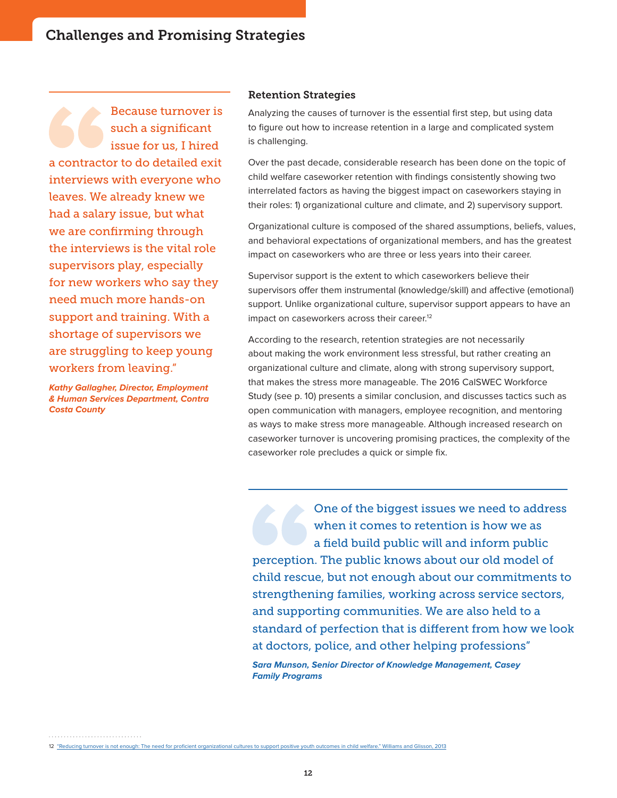Because turnover is such a significant issue for us, I hired a contractor to do detailed exit interviews with everyone who leaves. We already knew we had a salary issue, but what we are confirming through the interviews is the vital role supervisors play, especially for new workers who say they need much more hands-on support and training. With a shortage of supervisors we are struggling to keep young workers from leaving."

**Kathy Gallagher, Director, Employment & Human Services Department, Contra Costa County**

#### Retention Strategies

Analyzing the causes of turnover is the essential first step, but using data to figure out how to increase retention in a large and complicated system is challenging.

Over the past decade, considerable research has been done on the topic of child welfare caseworker retention with findings consistently showing two interrelated factors as having the biggest impact on caseworkers staying in their roles: 1) organizational culture and climate, and 2) supervisory support.

Organizational culture is composed of the shared assumptions, beliefs, values, and behavioral expectations of organizational members, and has the greatest impact on caseworkers who are three or less years into their career.

Supervisor support is the extent to which caseworkers believe their supervisors offer them instrumental (knowledge/skill) and affective (emotional) support. Unlike organizational culture, supervisor support appears to have an impact on caseworkers across their career.<sup>12</sup>

According to the research, retention strategies are not necessarily about making the work environment less stressful, but rather creating an organizational culture and climate, along with strong supervisory support, that makes the stress more manageable. The 2016 CalSWEC Workforce Study (see p. 10) presents a similar conclusion, and discusses tactics such as open communication with managers, employee recognition, and mentoring as ways to make stress more manageable. Although increased research on caseworker turnover is uncovering promising practices, the complexity of the caseworker role precludes a quick or simple fix.

One of the biggest issues we need to address when it comes to retention is how we as a field build public will and inform public perception. The public knows about our old model of child rescue, but not enough about our commitments to strengthening families, working across service sectors, and supporting communities. We are also held to a standard of perfection that is different from how we look at doctors, police, and other helping professions" **Sara Munson, Senior Director of Knowledge Management, Casey Family Programs**

12 ["Reducing turnover is not enough: The need for proficient organizational cultures to support positive youth outcomes in child welfare." Williams and Glisson, 2013](https://www.ncbi.nlm.nih.gov/pubmed/24273363)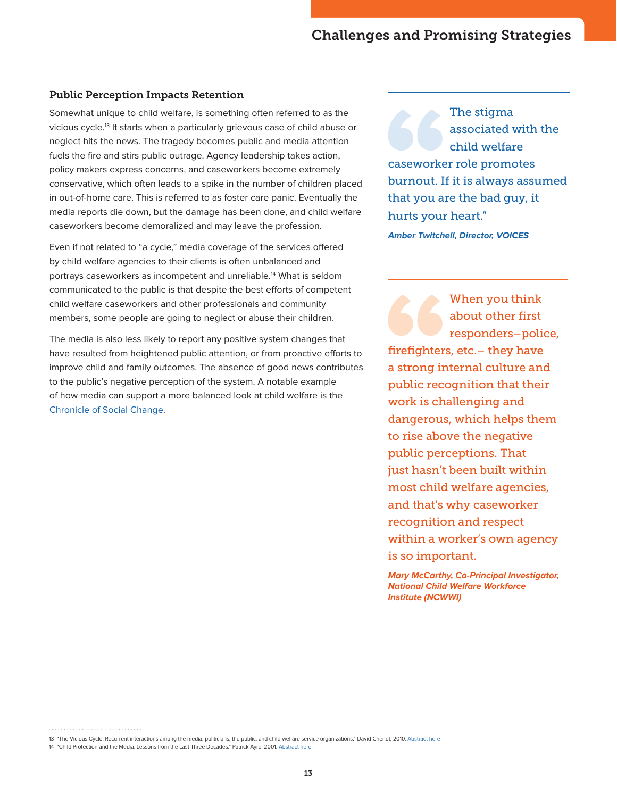#### Public Perception Impacts Retention

Somewhat unique to child welfare, is something often referred to as the vicious cycle.13 It starts when a particularly grievous case of child abuse or neglect hits the news. The tragedy becomes public and media attention fuels the fire and stirs public outrage. Agency leadership takes action, policy makers express concerns, and caseworkers become extremely conservative, which often leads to a spike in the number of children placed in out-of-home care. This is referred to as foster care panic. Eventually the media reports die down, but the damage has been done, and child welfare caseworkers become demoralized and may leave the profession.

Even if not related to "a cycle," media coverage of the services offered by child welfare agencies to their clients is often unbalanced and portrays caseworkers as incompetent and unreliable.<sup>14</sup> What is seldom communicated to the public is that despite the best efforts of competent child welfare caseworkers and other professionals and community members, some people are going to neglect or abuse their children.

The media is also less likely to report any positive system changes that have resulted from heightened public attention, or from proactive efforts to improve child and family outcomes. The absence of good news contributes to the public's negative perception of the system. A notable example of how media can support a more balanced look at child welfare is the [Chronicle of Social Change](https://chronicleofsocialchange.org/).

The stigma associated with the child welfare caseworker role promotes burnout. If it is always assumed that you are the bad guy, it hurts your heart."

**Amber Twitchell, Director, VOICES**

When you think about other first responders–police, firefighters, etc.– they have a strong internal culture and public recognition that their work is challenging and dangerous, which helps them to rise above the negative public perceptions. That just hasn't been built within most child welfare agencies, and that's why caseworker recognition and respect within a worker's own agency is so important.

**Mary McCarthy, Co-Principal Investigator, National Child Welfare Workforce Institute (NCWWI)**

<sup>13 &</sup>quot;The Vicious Cycle: Recurrent interactions among the media, politicians, the public, and child welfare service organizations." David Chenot, 2010. [Abstract here](http://www.tandfonline.com/doi/abs/10.1080/15548732.2011.566752)

<sup>14 &</sup>quot;Child Protection and the Media: Lessons from the Last Three Decades." Patrick Ayre, 2001. [Abstract here](https://academic.oup.com/bjsw/article/31/6/887/1663197)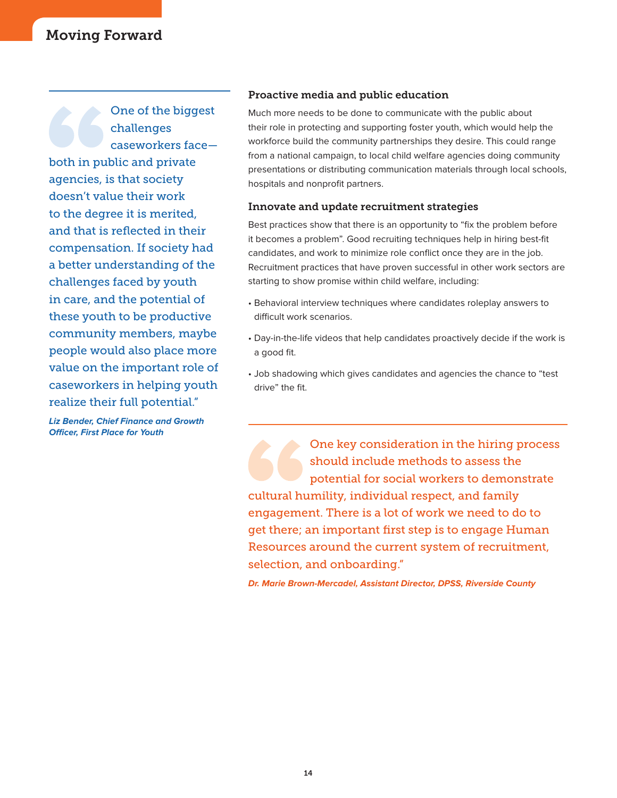# Moving Forward

One of the biggest challenges caseworkers face both in public and private agencies, is that society doesn't value their work to the degree it is merited, and that is reflected in their compensation. If society had a better understanding of the challenges faced by youth in care, and the potential of these youth to be productive community members, maybe people would also place more value on the important role of caseworkers in helping youth realize their full potential."

**Liz Bender, Chief Finance and Growth Officer, First Place for Youth**

#### Proactive media and public education

Much more needs to be done to communicate with the public about their role in protecting and supporting foster youth, which would help the workforce build the community partnerships they desire. This could range from a national campaign, to local child welfare agencies doing community presentations or distributing communication materials through local schools, hospitals and nonprofit partners.

#### Innovate and update recruitment strategies

Best practices show that there is an opportunity to "fix the problem before it becomes a problem". Good recruiting techniques help in hiring best-fit candidates, and work to minimize role conflict once they are in the job. Recruitment practices that have proven successful in other work sectors are starting to show promise within child welfare, including:

- Behavioral interview techniques where candidates roleplay answers to difficult work scenarios.
- Day-in-the-life videos that help candidates proactively decide if the work is a good fit.
- Job shadowing which gives candidates and agencies the chance to "test drive" the fit.

One key consideration in the hiring process should include methods to assess the potential for social workers to demonstrate cultural humility, individual respect, and family engagement. There is a lot of work we need to do to get there; an important first step is to engage Human Resources around the current system of recruitment, selection, and onboarding."

**Dr. Marie Brown-Mercadel, Assistant Director, DPSS, Riverside County**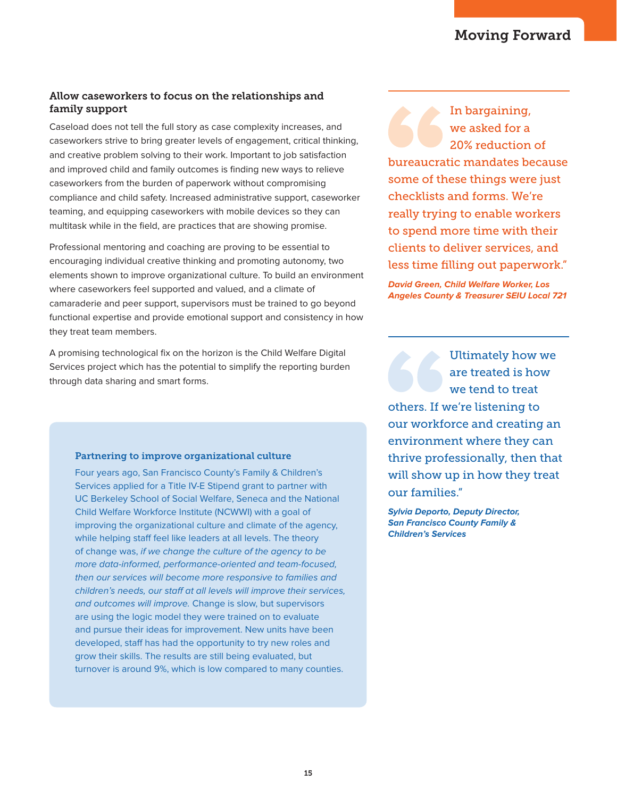## Allow caseworkers to focus on the relationships and family support

Caseload does not tell the full story as case complexity increases, and caseworkers strive to bring greater levels of engagement, critical thinking, and creative problem solving to their work. Important to job satisfaction and improved child and family outcomes is finding new ways to relieve caseworkers from the burden of paperwork without compromising compliance and child safety. Increased administrative support, caseworker teaming, and equipping caseworkers with mobile devices so they can multitask while in the field, are practices that are showing promise.

Professional mentoring and coaching are proving to be essential to encouraging individual creative thinking and promoting autonomy, two elements shown to improve organizational culture. To build an environment where caseworkers feel supported and valued, and a climate of camaraderie and peer support, supervisors must be trained to go beyond functional expertise and provide emotional support and consistency in how they treat team members.

A promising technological fix on the horizon is the Child Welfare Digital Services project which has the potential to simplify the reporting burden through data sharing and smart forms.

### Partnering to improve organizational culture

Four years ago, San Francisco County's Family & Children's Services applied for a Title IV-E Stipend grant to partner with UC Berkeley School of Social Welfare, Seneca and the National Child Welfare Workforce Institute (NCWWI) with a goal of improving the organizational culture and climate of the agency, while helping staff feel like leaders at all levels. The theory of change was, if we change the culture of the agency to be more data-informed, performance-oriented and team-focused, then our services will become more responsive to families and children's needs, our staff at all levels will improve their services, and outcomes will improve. Change is slow, but supervisors are using the logic model they were trained on to evaluate and pursue their ideas for improvement. New units have been developed, staff has had the opportunity to try new roles and grow their skills. The results are still being evaluated, but turnover is around 9%, which is low compared to many counties.

In bargaining, we asked for a 20% reduction of bureaucratic mandates because some of these things were just checklists and forms. We're really trying to enable workers to spend more time with their clients to deliver services, and less time filling out paperwork."

**David Green, Child Welfare Worker, Los Angeles County & Treasurer SEIU Local 721**

Ultimately how we are treated is how we tend to treat others. If we're listening to our workforce and creating an environment where they can thrive professionally, then that will show up in how they treat our families."

**Sylvia Deporto, Deputy Director, San Francisco County Family & Children's Services**